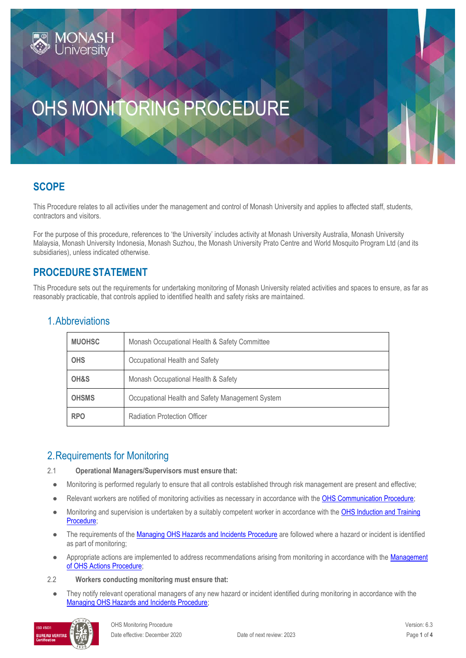# OHS MONITORING PROCEDURE

## **SCOPE**

This Procedure relates to all activities under the management and control of Monash University and applies to affected staff, students, contractors and visitors.

For the purpose of this procedure, references to 'the University' includes activity at Monash University Australia, Monash University Malaysia, Monash University Indonesia, Monash Suzhou, the Monash University Prato Centre and World Mosquito Program Ltd (and its subsidiaries), unless indicated otherwise.

## **PROCEDURE STATEMENT**

This Procedure sets out the requirements for undertaking monitoring of Monash University related activities and spaces to ensure, as far as reasonably practicable, that controls applied to identified health and safety risks are maintained.

| <b>MUOHSC</b> | Monash Occupational Health & Safety Committee    |  |
|---------------|--------------------------------------------------|--|
| <b>OHS</b>    | Occupational Health and Safety                   |  |
| OH&S          | Monash Occupational Health & Safety              |  |
| <b>OHSMS</b>  | Occupational Health and Safety Management System |  |
| <b>RPO</b>    | <b>Radiation Protection Officer</b>              |  |

## 1.Abbreviations

## 2.Requirements for Monitoring

2.1 **Operational Managers/Supervisors must ensure that:**

- Monitoring is performed regularly to ensure that all controls established through risk management are present and effective;
- Relevant workers are notified of monitoring activities as necessary in accordance with th[e OHS Communication Procedure;](https://publicpolicydms.monash.edu/Monash/documents/1935624)
- Monitoring and supervision is undertaken by a suitably competent worker in accordance with the OHS Induction and Training [Procedure;](https://publicpolicydms.monash.edu/Monash/documents/1935627)
- The requirements of th[e Managing OHS Hazards and Incidents Procedure](https://publicpolicydms.monash.edu/Monash/documents/1935623) are followed where a hazard or incident is identified as part of monitoring;
- Appropriate actions are implemented to address recommendations arising from monitoring in accordance with the [Management](https://publicpolicydms.monash.edu/Monash/documents/1935618)  [of OHS Actions Procedure;](https://publicpolicydms.monash.edu/Monash/documents/1935618)
- 2.2 **Workers conducting monitoring must ensure that:**
	- They notify relevant operational managers of any new hazard or incident identified during monitoring in accordance with the [Managing OHS Hazards and Incidents Procedure;](https://publicpolicydms.monash.edu/Monash/documents/1935623)

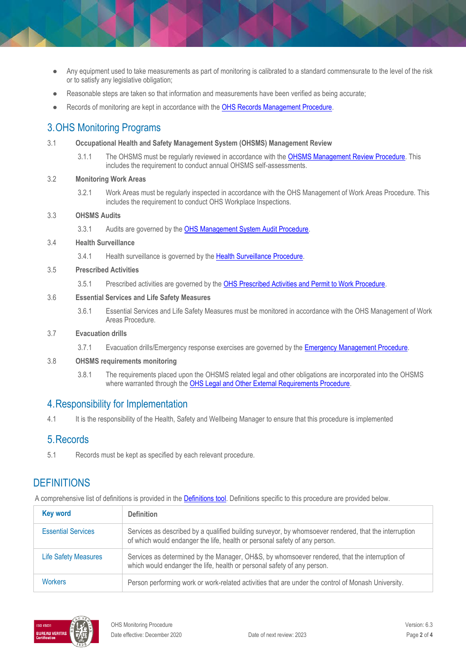- Any equipment used to take measurements as part of monitoring is calibrated to a standard commensurate to the level of the risk or to satisfy any legislative obligation;
- Reasonable steps are taken so that information and measurements have been verified as being accurate;
- Records of monitoring are kept in accordance with th[e OHS Records Management Procedure.](https://publicpolicydms.monash.edu/Monash/documents/1935642)

## 3.OHS Monitoring Programs

- 3.1 **Occupational Health and Safety Management System (OHSMS) Management Review**
	- 3.1.1 The OHSMS must be regularly reviewed in accordance with the **OHSMS Management Review Procedure**. This includes the requirement to conduct annual OHSMS self-assessments.
- 3.2 **Monitoring Work Areas**
	- 3.2.1 Work Areas must be regularly inspected in accordance with the OHS Management of Work Areas Procedure. This includes the requirement to conduct OHS Workplace Inspections.

#### 3.3 **OHSMS Audits**

3.3.1 Audits are governed by the **OHS Management System Audit Procedure**.

#### 3.4 **Health Surveillance**

3.4.1 Health surveillance is governed by the [Health Surveillance Procedure.](https://publicpolicydms.monash.edu/Monash/documents/1935612)

#### 3.5 **Prescribed Activities**

3.5.1 Prescribed activities are governed by the **OHS Prescribed Activities and Permit to Work Procedure**.

#### 3.6 **Essential Services and Life Safety Measures**

3.6.1 Essential Services and Life Safety Measures must be monitored in accordance with the OHS Management of Work Areas Procedure.

#### 3.7 **Evacuation drills**

3.7.1 Evacuation drills/Emergency response exercises are governed by the [Emergency Management Procedure.](https://publicpolicydms.monash.edu/Monash/documents/1935608)

#### 3.8 **OHSMS requirements monitoring**

3.8.1 The requirements placed upon the OHSMS related legal and other obligations are incorporated into the OHSMS where warranted through th[e OHS Legal and Other External Requirements Procedure.](https://publicpolicydms.monash.edu/Monash/documents/1935629)

## 4.Responsibility for Implementation

4.1 It is the responsibility of the Health, Safety and Wellbeing Manager to ensure that this procedure is implemented

### 5.Records

5.1 Records must be kept as specified by each relevant procedure.

## **DEFINITIONS**

A comprehensive list of definitions is provided in the [Definitions tool.](http://www.monash.edu/__data/assets/pdf_file/0018/113742/ohs-document-definitions.pdf) Definitions specific to this procedure are provided below.

| <b>Key word</b>             | <b>Definition</b>                                                                                                                                                                   |
|-----------------------------|-------------------------------------------------------------------------------------------------------------------------------------------------------------------------------------|
| <b>Essential Services</b>   | Services as described by a qualified building surveyor, by whomsoever rendered, that the interruption<br>of which would endanger the life, health or personal safety of any person. |
| <b>Life Safety Measures</b> | Services as determined by the Manager, OH&S, by whomsoever rendered, that the interruption of<br>which would endanger the life, health or personal safety of any person.            |
| <b>Workers</b>              | Person performing work or work-related activities that are under the control of Monash University.                                                                                  |

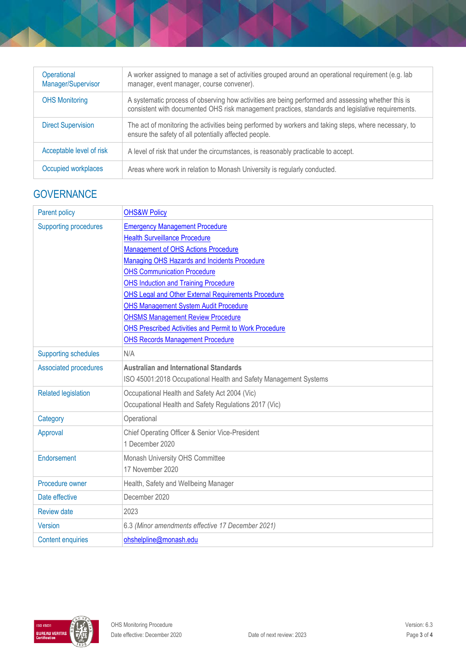| Operational<br>Manager/Supervisor | A worker assigned to manage a set of activities grouped around an operational requirement (e.g. lab<br>manager, event manager, course convener).                                                        |
|-----------------------------------|---------------------------------------------------------------------------------------------------------------------------------------------------------------------------------------------------------|
| <b>OHS Monitoring</b>             | A systematic process of observing how activities are being performed and assessing whether this is<br>consistent with documented OHS risk management practices, standards and legislative requirements. |
| <b>Direct Supervision</b>         | The act of monitoring the activities being performed by workers and taking steps, where necessary, to<br>ensure the safety of all potentially affected people.                                          |
| Acceptable level of risk          | A level of risk that under the circumstances, is reasonably practicable to accept.                                                                                                                      |
| Occupied workplaces               | Areas where work in relation to Monash University is regularly conducted.                                                                                                                               |

## **GOVERNANCE**

| <b>Parent policy</b>         | <b>OHS&amp;W Policy</b>                                          |  |
|------------------------------|------------------------------------------------------------------|--|
| <b>Supporting procedures</b> | <b>Emergency Management Procedure</b>                            |  |
|                              | <b>Health Surveillance Procedure</b>                             |  |
|                              | Management of OHS Actions Procedure                              |  |
|                              | <b>Managing OHS Hazards and Incidents Procedure</b>              |  |
|                              | <b>OHS Communication Procedure</b>                               |  |
|                              | <b>OHS Induction and Training Procedure</b>                      |  |
|                              | OHS Legal and Other External Requirements Procedure              |  |
|                              | <b>OHS Management System Audit Procedure</b>                     |  |
|                              | <b>OHSMS Management Review Procedure</b>                         |  |
|                              | OHS Prescribed Activities and Permit to Work Procedure           |  |
|                              | <b>OHS Records Management Procedure</b>                          |  |
| <b>Supporting schedules</b>  | N/A                                                              |  |
| <b>Associated procedures</b> | <b>Australian and International Standards</b>                    |  |
|                              | ISO 45001:2018 Occupational Health and Safety Management Systems |  |
| <b>Related legislation</b>   | Occupational Health and Safety Act 2004 (Vic)                    |  |
|                              | Occupational Health and Safety Regulations 2017 (Vic)            |  |
| Category                     | Operational                                                      |  |
| Approval                     | Chief Operating Officer & Senior Vice-President                  |  |
|                              | 1 December 2020                                                  |  |
| Endorsement                  | Monash University OHS Committee                                  |  |
|                              | 17 November 2020                                                 |  |
| Procedure owner              | Health, Safety and Wellbeing Manager                             |  |
| Date effective               | December 2020                                                    |  |
| <b>Review date</b>           | 2023                                                             |  |
| Version                      | 6.3 (Minor amendments effective 17 December 2021)                |  |
| <b>Content enquiries</b>     | ohshelpline@monash.edu                                           |  |